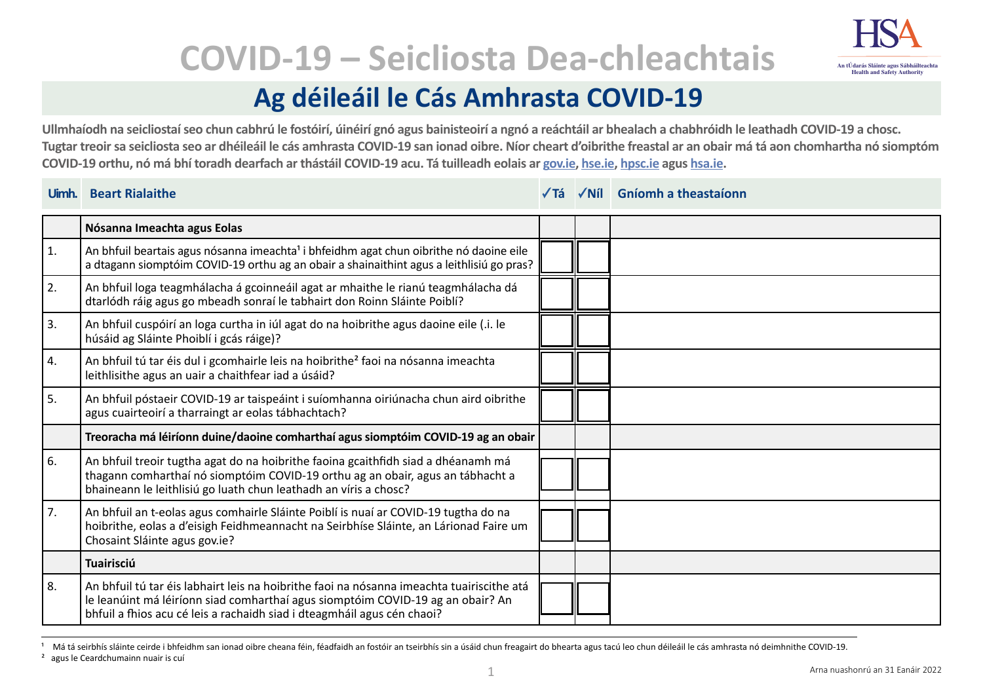

# **COVID-19 – Seicliosta Dea-chleachtais**

## **Ag déileáil le Cás Amhrasta COVID-19**

**Ullmhaíodh na seicliostaí seo chun cabhrú le fostóirí, úinéirí gnó agus bainisteoirí a ngnó a reáchtáil ar bhealach a chabhróidh le leathadh COVID-19 a chosc. Tugtar treoir sa seicliosta seo ar dhéileáil le cás amhrasta COVID-19 san ionad oibre. Níor cheart d'oibrithe freastal ar an obair má tá aon chomhartha nó siomptóm COVID-19 orthu, nó má bhí toradh dearfach ar thástáil COVID-19 acu. Tá tuilleadh eolais ar [gov.ie,](https://www.gov.ie/en/campaigns/c36c85-covid-19-coronavirus/) [hse.ie](https://www.hse.ie/eng/), [hpsc.ie](https://www.hpsc.ie) agus [hsa.ie](https://www.hsa.ie/eng/).** 

#### **Uimh. Beart Rialaithe Tá Níl Gníomh a theastaíonn**

|            | Nósanna Imeachta agus Eolas                                                                                                                                                                                                                             |  |  |
|------------|---------------------------------------------------------------------------------------------------------------------------------------------------------------------------------------------------------------------------------------------------------|--|--|
| $\vert$ 1. | An bhfuil beartais agus nósanna imeachta <sup>1</sup> i bhfeidhm agat chun oibrithe nó daoine eile<br>a dtagann siomptóim COVID-19 orthu ag an obair a shainaithint agus a leithlisiú go pras?                                                          |  |  |
| 2.         | An bhfuil loga teagmhálacha á gcoinneáil agat ar mhaithe le rianú teagmhálacha dá<br>dtarlódh ráig agus go mbeadh sonraí le tabhairt don Roinn Sláinte Poiblí?                                                                                          |  |  |
| 3.         | An bhfuil cuspóirí an loga curtha in iúl agat do na hoibrithe agus daoine eile (.i. le<br>húsáid ag Sláinte Phoiblí i gcás ráige)?                                                                                                                      |  |  |
| 4.         | An bhfuil tú tar éis dul i gcomhairle leis na hoibrithe <sup>2</sup> faoi na nósanna imeachta<br>leithlisithe agus an uair a chaithfear iad a úsáid?                                                                                                    |  |  |
| 5.         | An bhfuil póstaeir COVID-19 ar taispeáint i suíomhanna oiriúnacha chun aird oibrithe<br>agus cuairteoirí a tharraingt ar eolas tábhachtach?                                                                                                             |  |  |
|            | Treoracha má léiríonn duine/daoine comharthaí agus siomptóim COVID-19 ag an obair                                                                                                                                                                       |  |  |
| 6.         | An bhfuil treoir tugtha agat do na hoibrithe faoina gcaithfidh siad a dhéanamh má<br>thagann comharthaí nó siomptóim COVID-19 orthu ag an obair, agus an tábhacht a<br>bhaineann le leithlisiú go luath chun leathadh an víris a chosc?                 |  |  |
| 7.         | An bhfuil an t-eolas agus comhairle Sláinte Poiblí is nuaí ar COVID-19 tugtha do na<br>hoibrithe, eolas a d'eisigh Feidhmeannacht na Seirbhíse Sláinte, an Lárionad Faire um<br>Chosaint Sláinte agus gov.ie?                                           |  |  |
|            | <b>Tuairisciú</b>                                                                                                                                                                                                                                       |  |  |
| 8.         | An bhfuil tú tar éis labhairt leis na hoibrithe faoi na nósanna imeachta tuairiscithe atá<br>le leanúint má léiríonn siad comharthaí agus siomptóim COVID-19 ag an obair? An<br>bhfuil a fhios acu cé leis a rachaidh siad i dteagmháil agus cén chaoi? |  |  |

Má tá seirbhís sláinte ceirde i bhfeidhm san ionad oibre cheana féin, féadfaidh an fostóir an tseirbhís sin a úsáid chun freagairt do bhearta agus tacú leo chun déileáil le cás amhrasta nó deimhnithe COVID-19.

² agus le Ceardchumainn nuair is cuí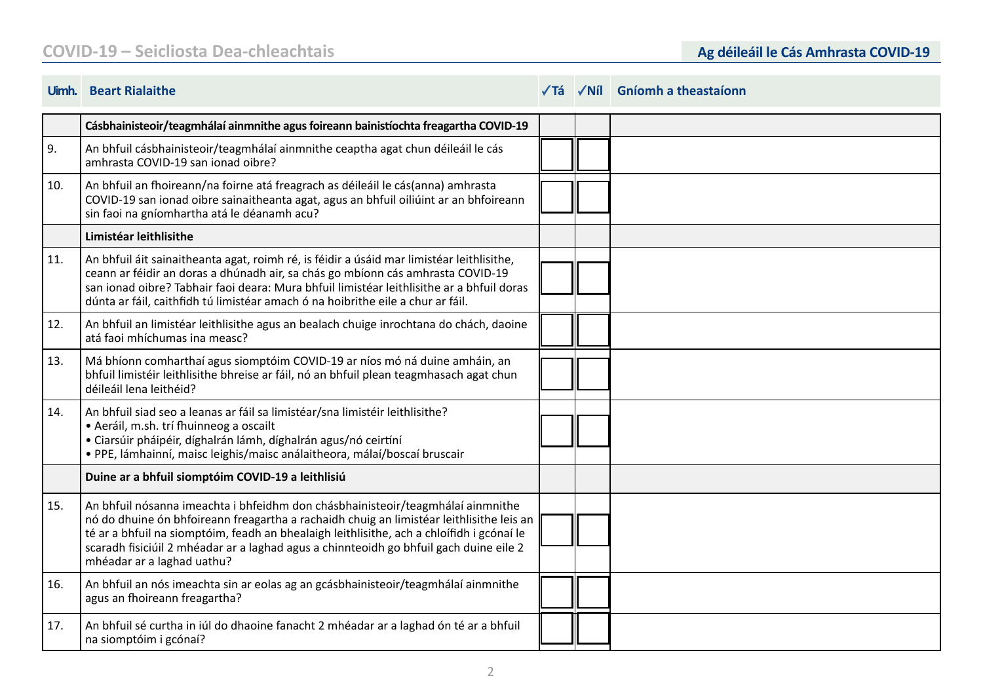### **COVID-19 – Seicliosta Dea-chleachtais Ag déileáil le Cás Amhrasta COVID-19**

|     | Cásbhainisteoir/teagmhálaí ainmnithe agus foireann bainistíochta freagartha COVID-19                                                                                                                                                                                                                                                                                                             |  |  |
|-----|--------------------------------------------------------------------------------------------------------------------------------------------------------------------------------------------------------------------------------------------------------------------------------------------------------------------------------------------------------------------------------------------------|--|--|
| 9.  | An bhfuil cásbhainisteoir/teagmhálaí ainmnithe ceaptha agat chun déileáil le cás<br>amhrasta COVID-19 san ionad oibre?                                                                                                                                                                                                                                                                           |  |  |
| 10. | An bhfuil an fhoireann/na foirne atá freagrach as déileáil le cás(anna) amhrasta<br>COVID-19 san ionad oibre sainaitheanta agat, agus an bhfuil oiliúint ar an bhfoireann<br>sin faoi na gníomhartha atá le déanamh acu?                                                                                                                                                                         |  |  |
|     | Limistéar leithlisithe                                                                                                                                                                                                                                                                                                                                                                           |  |  |
| 11. | An bhfuil áit sainaitheanta agat, roimh ré, is féidir a úsáid mar limistéar leithlisithe,<br>ceann ar féidir an doras a dhúnadh air, sa chás go mbíonn cás amhrasta COVID-19<br>san jonad oibre? Tabhair faoi deara: Mura bhfuil limistéar leithlisithe ar a bhfuil doras<br>dúnta ar fáil, caithfidh tú limistéar amach ó na hoibrithe eile a chur ar fáil.                                     |  |  |
| 12. | An bhfuil an limistéar leithlisithe agus an bealach chuige inrochtana do chách, daoine<br>atá faoi mhíchumas ina measc?                                                                                                                                                                                                                                                                          |  |  |
| 13. | Má bhíonn comharthaí agus siomptóim COVID-19 ar níos mó ná duine amháin, an<br>bhfuil limistéir leithlisithe bhreise ar fáil, nó an bhfuil plean teagmhasach agat chun<br>déileáil lena leithéid?                                                                                                                                                                                                |  |  |
| 14. | An bhfuil siad seo a leanas ar fáil sa limistéar/sna limistéir leithlisithe?<br>· Aeráil, m.sh. trí fhuinneog a oscailt<br>· Ciarsúir pháipéir, díghalrán lámh, díghalrán agus/nó ceirtíní<br>· PPE, lámhainní, maisc leighis/maisc análaitheora, málaí/boscaí bruscair                                                                                                                          |  |  |
|     | Duine ar a bhfuil siomptóim COVID-19 a leithlisiú                                                                                                                                                                                                                                                                                                                                                |  |  |
| 15. | An bhfuil nósanna imeachta i bhfeidhm don chásbhainisteoir/teagmhálaí ainmnithe<br>nó do dhuine ón bhfoireann freagartha a rachaidh chuig an limistéar leithlisithe leis an<br>té ar a bhfuil na siomptóim, feadh an bhealaigh leithlisithe, ach a chloífidh i gcónaí le<br>scaradh fisiciúil 2 mhéadar ar a laghad agus a chinnteoidh go bhfuil gach duine eile 2<br>mhéadar ar a laghad uathu? |  |  |
| 16. | An bhfuil an nós imeachta sin ar eolas ag an gcásbhainisteoir/teagmhálaí ainmnithe<br>agus an fhoireann freagartha?                                                                                                                                                                                                                                                                              |  |  |
| 17. | An bhfuil sé curtha in iúl do dhaoine fanacht 2 mhéadar ar a laghad ón té ar a bhfuil<br>na siomptóim i gcónaí?                                                                                                                                                                                                                                                                                  |  |  |

#### **Uimh. Beart Rialaithe Tá Níl Gníomh a theastaíonn**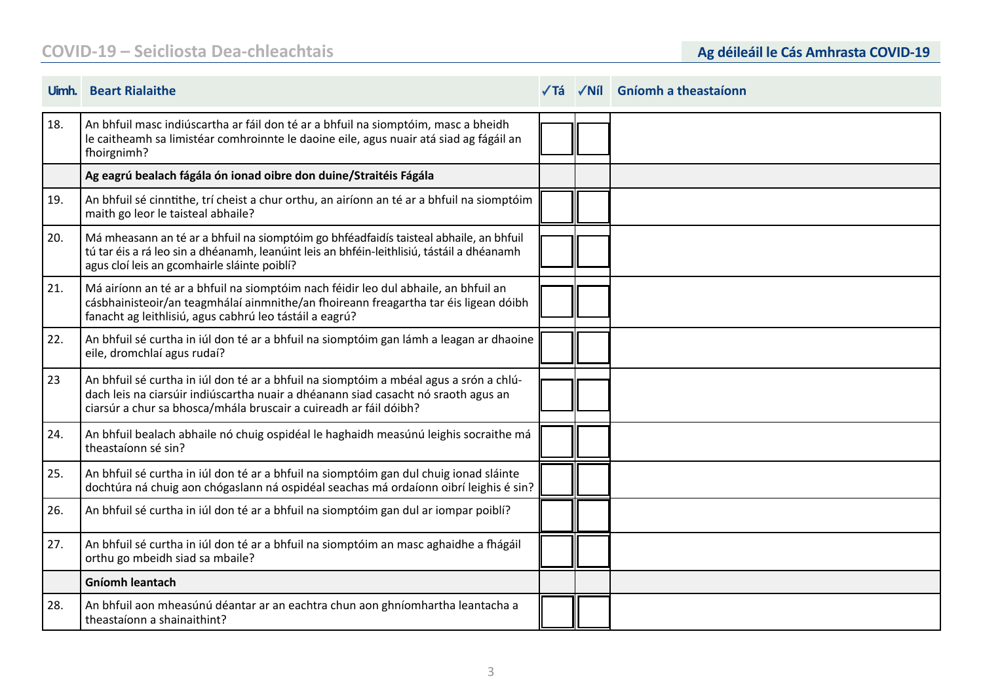### **COVID-19 – Seicliosta Dea-chleachtais**

|     | Uimh. Beart Rialaithe                                                                                                                                                                                                                             | √Tá | $\sqrt{N}$ il Gníomh a theastaíonn |
|-----|---------------------------------------------------------------------------------------------------------------------------------------------------------------------------------------------------------------------------------------------------|-----|------------------------------------|
| 18. | An bhfuil masc indiúscartha ar fáil don té ar a bhfuil na siomptóim, masc a bheidh<br>le caitheamh sa limistéar comhroinnte le daoine eile, agus nuair atá siad ag fágáil an<br>fhoirgnimh?                                                       |     |                                    |
|     | Ag eagrú bealach fágála ón ionad oibre don duine/Straitéis Fágála                                                                                                                                                                                 |     |                                    |
| 19. | An bhfuil sé cinntithe, trí cheist a chur orthu, an airíonn an té ar a bhfuil na siomptóim<br>maith go leor le taisteal abhaile?                                                                                                                  |     |                                    |
| 20. | Má mheasann an té ar a bhfuil na siomptóim go bhféadfaidís taisteal abhaile, an bhfuil<br>tú tar éis a rá leo sin a dhéanamh, leanúint leis an bhféin-leithlisiú, tástáil a dhéanamh<br>agus cloí leis an gcomhairle sláinte poiblí?              |     |                                    |
| 21. | Má airíonn an té ar a bhfuil na siomptóim nach féidir leo dul abhaile, an bhfuil an<br>cásbhainisteoir/an teagmhálaí ainmnithe/an fhoireann freagartha tar éis ligean dóibh<br>fanacht ag leithlisiú, agus cabhrú leo tástáil a eagrú?            |     |                                    |
| 22. | An bhfuil sé curtha in iúl don té ar a bhfuil na siomptóim gan lámh a leagan ar dhaoine<br>eile, dromchlaí agus rudaí?                                                                                                                            |     |                                    |
| 23  | An bhfuil sé curtha in iúl don té ar a bhfuil na siomptóim a mbéal agus a srón a chlú-<br>dach leis na ciarsúir indiúscartha nuair a dhéanann siad casacht nó sraoth agus an<br>ciarsúr a chur sa bhosca/mhála bruscair a cuireadh ar fáil dóibh? |     |                                    |
| 24. | An bhfuil bealach abhaile nó chuig ospidéal le haghaidh measúnú leighis socraithe má<br>theastaíonn sé sin?                                                                                                                                       |     |                                    |
| 25. | An bhfuil sé curtha in iúl don té ar a bhfuil na siomptóim gan dul chuig ionad sláinte<br>dochtúra ná chuig aon chógaslann ná ospidéal seachas má ordaíonn oibrí leighis é sin?                                                                   |     |                                    |
| 26. | An bhfuil sé curtha in iúl don té ar a bhfuil na siomptóim gan dul ar iompar poiblí?                                                                                                                                                              |     |                                    |
| 27. | An bhfuil sé curtha in iúl don té ar a bhfuil na siomptóim an masc aghaidhe a fhágáil<br>orthu go mbeidh siad sa mbaile?                                                                                                                          |     |                                    |
|     | <b>Gníomh leantach</b>                                                                                                                                                                                                                            |     |                                    |
| 28. | An bhfuil aon mheasúnú déantar ar an eachtra chun aon ghníomhartha leantacha a<br>theastaíonn a shainaithint?                                                                                                                                     |     |                                    |